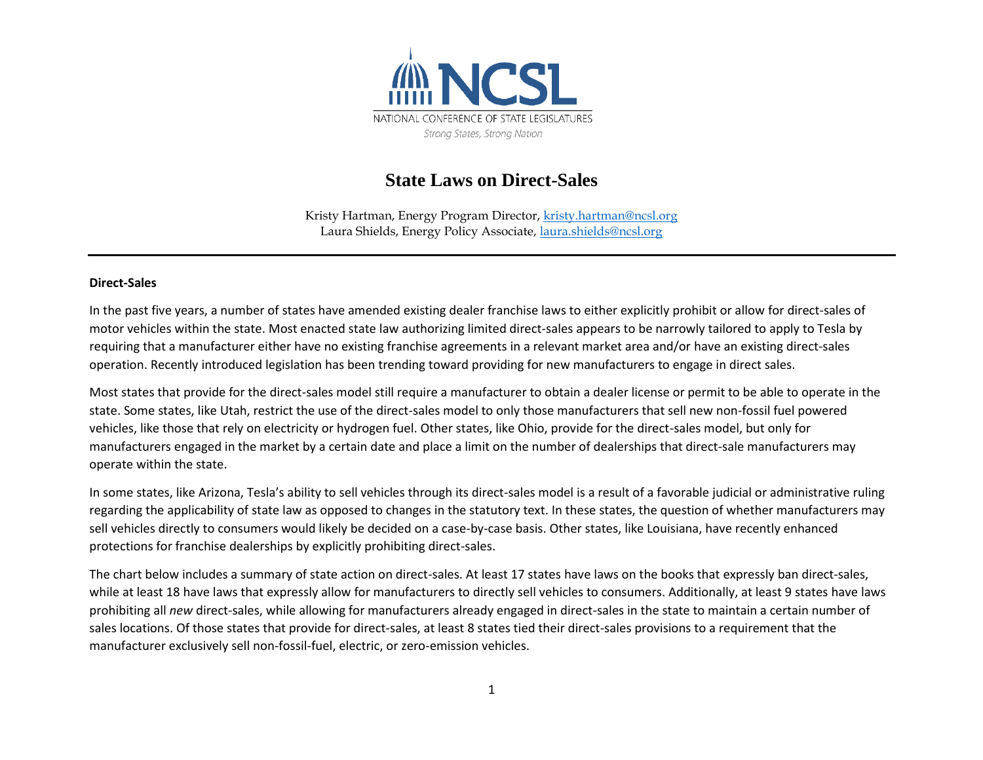

## **State Laws on Direct-Sales**

Kristy Hartman, Energy Program Director, [kristy.hartman@ncsl.org](mailto:kristy.hartman@ncsl.org)  Laura Shields, Energy Policy Associate, [laura.shields@ncsl.org](mailto:laura.shields@ncsl.org)

## **Direct-Sales**

In the past five years, a number of states have amended existing dealer franchise laws to either explicitly prohibit or allow for direct-sales of motor vehicles within the state. Most enacted state law authorizing limited direct-sales appears to be narrowly tailored to apply to Tesla by requiring that a manufacturer either have no existing franchise agreements in a relevant market area and/or have an existing direct-sales operation. Recently introduced legislation has been trending toward providing for new manufacturers to engage in direct sales.

Most states that provide for the direct-sales model still require a manufacturer to obtain a dealer license or permit to be able to operate in the state. Some states, like Utah, restrict the use of the direct-sales model to only those manufacturers that sell new non-fossil fuel powered vehicles, like those that rely on electricity or hydrogen fuel. Other states, like Ohio, provide for the direct-sales model, but only for manufacturers engaged in the market by a certain date and place a limit on the number of dealerships that direct-sale manufacturers may operate within the state.

In some states, like Arizona, Tesla's ability to sell vehicles through its direct-sales model is a result of a favorable judicial or administrative ruling regarding the applicability of state law as opposed to changes in the statutory text. In these states, the question of whether manufacturers may sell vehicles directly to consumers would likely be decided on a case-by-case basis. Other states, like Louisiana, have recently enhanced protections for franchise dealerships by explicitly prohibiting direct-sales.

The chart below includes a summary of state action on direct-sales. At least 17 states have laws on the books that expressly ban direct-sales, while at least 18 have laws that expressly allow for manufacturers to directly sell vehicles to consumers. Additionally, at least 9 states have laws prohibiting all *new* direct-sales, while allowing for manufacturers already engaged in direct-sales in the state to maintain a certain number of sales locations. Of those states that provide for direct-sales, at least 8 states tied their direct-sales provisions to a requirement that the manufacturer exclusively sell non-fossil-fuel, electric, or zero-emission vehicles.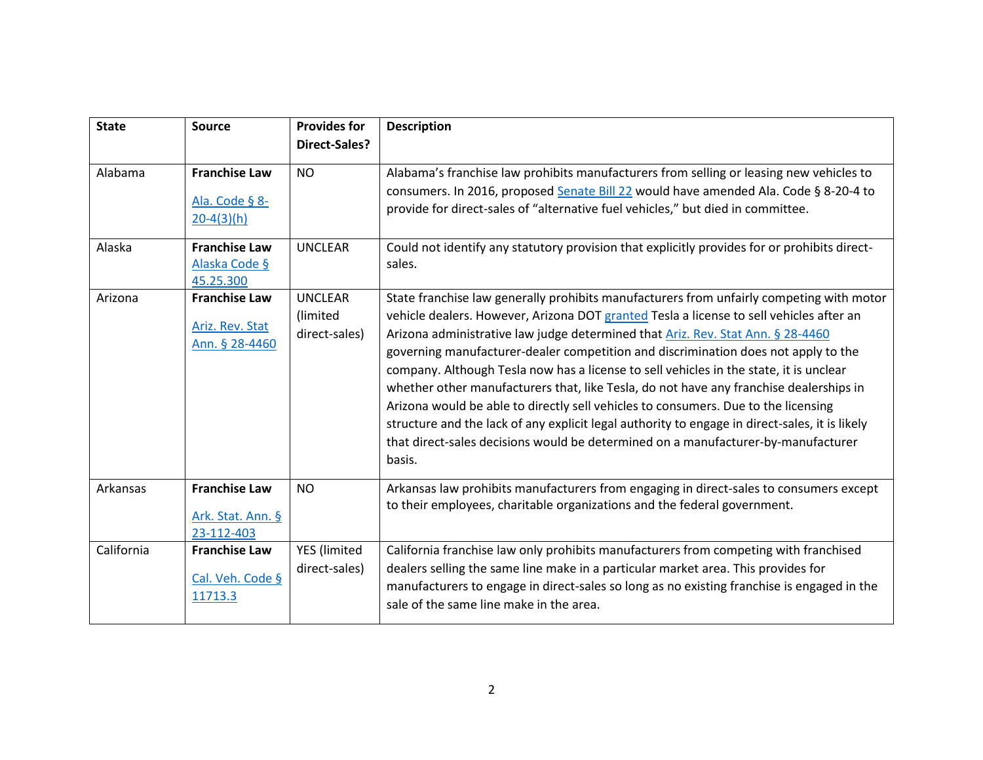| <b>State</b> | <b>Source</b>                                             | <b>Provides for</b><br>Direct-Sales?        | <b>Description</b>                                                                                                                                                                                                                                                                                                                                                                                                                                                                                                                                                                                                                                                                                                                                                                                                                      |
|--------------|-----------------------------------------------------------|---------------------------------------------|-----------------------------------------------------------------------------------------------------------------------------------------------------------------------------------------------------------------------------------------------------------------------------------------------------------------------------------------------------------------------------------------------------------------------------------------------------------------------------------------------------------------------------------------------------------------------------------------------------------------------------------------------------------------------------------------------------------------------------------------------------------------------------------------------------------------------------------------|
| Alabama      | <b>Franchise Law</b><br>Ala. Code § 8-<br>$20 - 4(3)(h)$  | <b>NO</b>                                   | Alabama's franchise law prohibits manufacturers from selling or leasing new vehicles to<br>consumers. In 2016, proposed Senate Bill 22 would have amended Ala. Code § 8-20-4 to<br>provide for direct-sales of "alternative fuel vehicles," but died in committee.                                                                                                                                                                                                                                                                                                                                                                                                                                                                                                                                                                      |
| Alaska       | <b>Franchise Law</b><br>Alaska Code §<br>45.25.300        | <b>UNCLEAR</b>                              | Could not identify any statutory provision that explicitly provides for or prohibits direct-<br>sales.                                                                                                                                                                                                                                                                                                                                                                                                                                                                                                                                                                                                                                                                                                                                  |
| Arizona      | <b>Franchise Law</b><br>Ariz. Rev. Stat<br>Ann. § 28-4460 | <b>UNCLEAR</b><br>(limited<br>direct-sales) | State franchise law generally prohibits manufacturers from unfairly competing with motor<br>vehicle dealers. However, Arizona DOT granted Tesla a license to sell vehicles after an<br>Arizona administrative law judge determined that Ariz. Rev. Stat Ann. § 28-4460<br>governing manufacturer-dealer competition and discrimination does not apply to the<br>company. Although Tesla now has a license to sell vehicles in the state, it is unclear<br>whether other manufacturers that, like Tesla, do not have any franchise dealerships in<br>Arizona would be able to directly sell vehicles to consumers. Due to the licensing<br>structure and the lack of any explicit legal authority to engage in direct-sales, it is likely<br>that direct-sales decisions would be determined on a manufacturer-by-manufacturer<br>basis. |
| Arkansas     | <b>Franchise Law</b><br>Ark. Stat. Ann. §<br>23-112-403   | <b>NO</b>                                   | Arkansas law prohibits manufacturers from engaging in direct-sales to consumers except<br>to their employees, charitable organizations and the federal government.                                                                                                                                                                                                                                                                                                                                                                                                                                                                                                                                                                                                                                                                      |
| California   | <b>Franchise Law</b><br>Cal. Veh. Code §<br>11713.3       | <b>YES</b> (limited<br>direct-sales)        | California franchise law only prohibits manufacturers from competing with franchised<br>dealers selling the same line make in a particular market area. This provides for<br>manufacturers to engage in direct-sales so long as no existing franchise is engaged in the<br>sale of the same line make in the area.                                                                                                                                                                                                                                                                                                                                                                                                                                                                                                                      |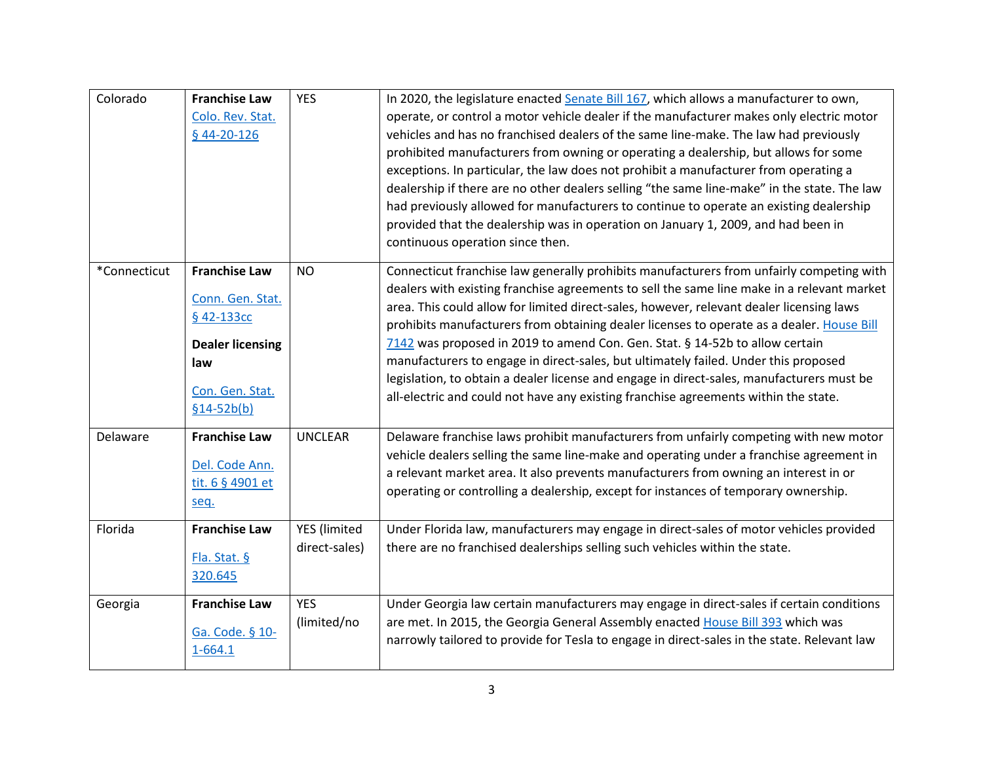| Colorado     | <b>Franchise Law</b><br>Colo. Rev. Stat.<br>$$44-20-126$                                                                    | <b>YES</b>                    | In 2020, the legislature enacted Senate Bill 167, which allows a manufacturer to own,<br>operate, or control a motor vehicle dealer if the manufacturer makes only electric motor<br>vehicles and has no franchised dealers of the same line-make. The law had previously<br>prohibited manufacturers from owning or operating a dealership, but allows for some<br>exceptions. In particular, the law does not prohibit a manufacturer from operating a<br>dealership if there are no other dealers selling "the same line-make" in the state. The law<br>had previously allowed for manufacturers to continue to operate an existing dealership<br>provided that the dealership was in operation on January 1, 2009, and had been in<br>continuous operation since then. |
|--------------|-----------------------------------------------------------------------------------------------------------------------------|-------------------------------|----------------------------------------------------------------------------------------------------------------------------------------------------------------------------------------------------------------------------------------------------------------------------------------------------------------------------------------------------------------------------------------------------------------------------------------------------------------------------------------------------------------------------------------------------------------------------------------------------------------------------------------------------------------------------------------------------------------------------------------------------------------------------|
| *Connecticut | <b>Franchise Law</b><br>Conn. Gen. Stat.<br>§ 42-133cc<br><b>Dealer licensing</b><br>law<br>Con. Gen. Stat.<br>$$14-52b(b)$ | <b>NO</b>                     | Connecticut franchise law generally prohibits manufacturers from unfairly competing with<br>dealers with existing franchise agreements to sell the same line make in a relevant market<br>area. This could allow for limited direct-sales, however, relevant dealer licensing laws<br>prohibits manufacturers from obtaining dealer licenses to operate as a dealer. House Bill<br>7142 was proposed in 2019 to amend Con. Gen. Stat. § 14-52b to allow certain<br>manufacturers to engage in direct-sales, but ultimately failed. Under this proposed<br>legislation, to obtain a dealer license and engage in direct-sales, manufacturers must be<br>all-electric and could not have any existing franchise agreements within the state.                                 |
| Delaware     | <b>Franchise Law</b><br>Del. Code Ann.<br>tit. 6 § 4901 et<br>seq.                                                          | <b>UNCLEAR</b>                | Delaware franchise laws prohibit manufacturers from unfairly competing with new motor<br>vehicle dealers selling the same line-make and operating under a franchise agreement in<br>a relevant market area. It also prevents manufacturers from owning an interest in or<br>operating or controlling a dealership, except for instances of temporary ownership.                                                                                                                                                                                                                                                                                                                                                                                                            |
| Florida      | <b>Franchise Law</b><br>Fla. Stat. §<br>320.645                                                                             | YES (limited<br>direct-sales) | Under Florida law, manufacturers may engage in direct-sales of motor vehicles provided<br>there are no franchised dealerships selling such vehicles within the state.                                                                                                                                                                                                                                                                                                                                                                                                                                                                                                                                                                                                      |
| Georgia      | <b>Franchise Law</b><br>Ga. Code. § 10-<br>$1 - 664.1$                                                                      | <b>YES</b><br>(limited/no     | Under Georgia law certain manufacturers may engage in direct-sales if certain conditions<br>are met. In 2015, the Georgia General Assembly enacted House Bill 393 which was<br>narrowly tailored to provide for Tesla to engage in direct-sales in the state. Relevant law                                                                                                                                                                                                                                                                                                                                                                                                                                                                                                 |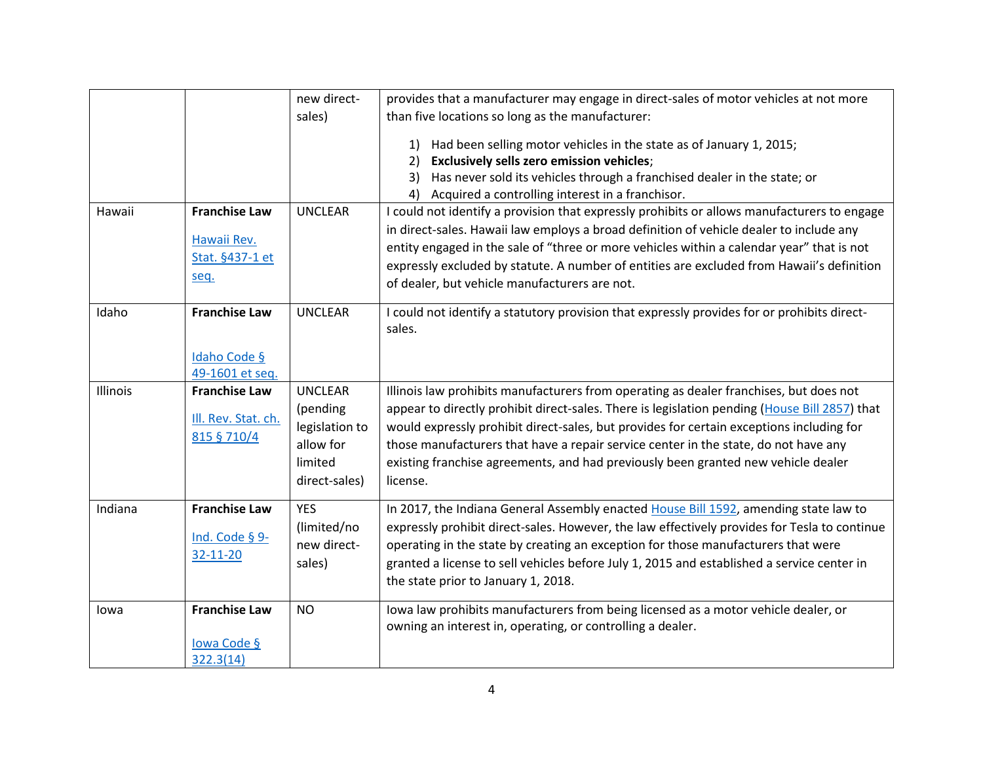|          |                                                                | new direct-                                                         | provides that a manufacturer may engage in direct-sales of motor vehicles at not more                                                                                                                                                                                                                                                                                                                                             |
|----------|----------------------------------------------------------------|---------------------------------------------------------------------|-----------------------------------------------------------------------------------------------------------------------------------------------------------------------------------------------------------------------------------------------------------------------------------------------------------------------------------------------------------------------------------------------------------------------------------|
|          |                                                                | sales)                                                              | than five locations so long as the manufacturer:                                                                                                                                                                                                                                                                                                                                                                                  |
|          |                                                                |                                                                     | Had been selling motor vehicles in the state as of January 1, 2015;<br>1)<br>Exclusively sells zero emission vehicles;<br>2)<br>Has never sold its vehicles through a franchised dealer in the state; or<br>3)<br>Acquired a controlling interest in a franchisor.<br>4)                                                                                                                                                          |
| Hawaii   | <b>Franchise Law</b><br>Hawaii Rev.<br>Stat. §437-1 et<br>seq. | <b>UNCLEAR</b>                                                      | I could not identify a provision that expressly prohibits or allows manufacturers to engage<br>in direct-sales. Hawaii law employs a broad definition of vehicle dealer to include any<br>entity engaged in the sale of "three or more vehicles within a calendar year" that is not<br>expressly excluded by statute. A number of entities are excluded from Hawaii's definition<br>of dealer, but vehicle manufacturers are not. |
| Idaho    | <b>Franchise Law</b><br>Idaho Code §                           | <b>UNCLEAR</b>                                                      | I could not identify a statutory provision that expressly provides for or prohibits direct-<br>sales.                                                                                                                                                                                                                                                                                                                             |
|          | 49-1601 et seq.                                                |                                                                     |                                                                                                                                                                                                                                                                                                                                                                                                                                   |
| Illinois | <b>Franchise Law</b>                                           | <b>UNCLEAR</b>                                                      | Illinois law prohibits manufacturers from operating as dealer franchises, but does not                                                                                                                                                                                                                                                                                                                                            |
|          | III. Rev. Stat. ch.<br>815 § 710/4                             | (pending<br>legislation to<br>allow for<br>limited<br>direct-sales) | appear to directly prohibit direct-sales. There is legislation pending (House Bill 2857) that<br>would expressly prohibit direct-sales, but provides for certain exceptions including for<br>those manufacturers that have a repair service center in the state, do not have any<br>existing franchise agreements, and had previously been granted new vehicle dealer<br>license.                                                 |
| Indiana  | <b>Franchise Law</b><br>Ind. Code § 9-<br>32-11-20             | <b>YES</b><br>(limited/no<br>new direct-<br>sales)                  | In 2017, the Indiana General Assembly enacted House Bill 1592, amending state law to<br>expressly prohibit direct-sales. However, the law effectively provides for Tesla to continue<br>operating in the state by creating an exception for those manufacturers that were<br>granted a license to sell vehicles before July 1, 2015 and established a service center in<br>the state prior to January 1, 2018.                    |
| lowa     | <b>Franchise Law</b><br>lowa Code §<br>322.3(14)               | <b>NO</b>                                                           | lowa law prohibits manufacturers from being licensed as a motor vehicle dealer, or<br>owning an interest in, operating, or controlling a dealer.                                                                                                                                                                                                                                                                                  |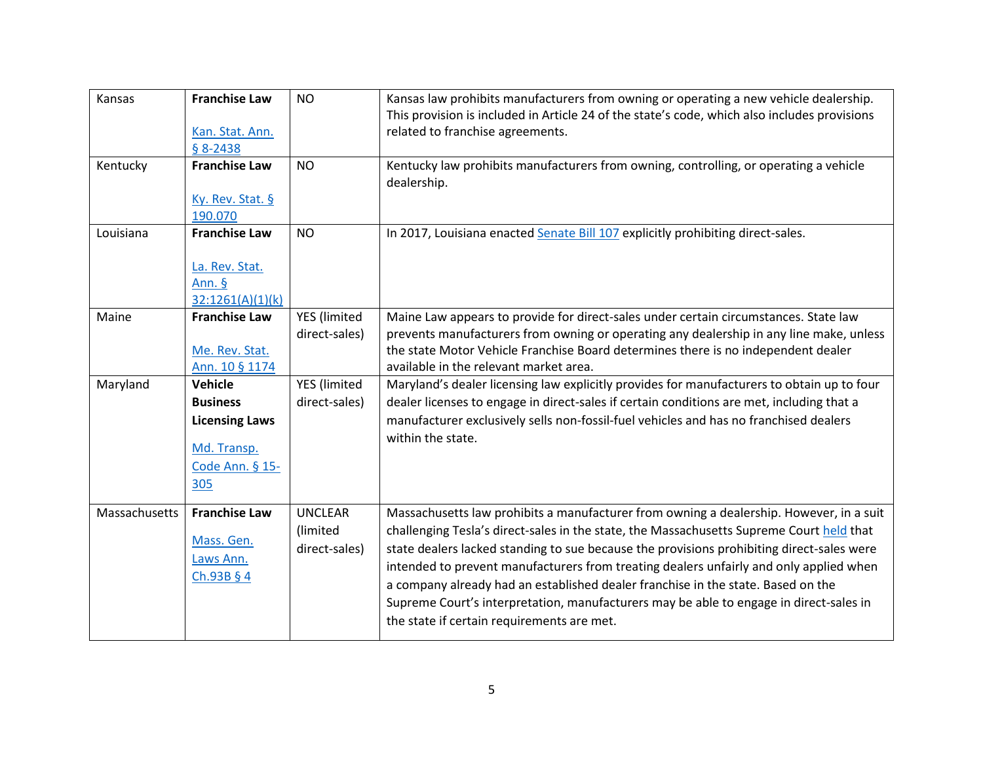| Kansas        | <b>Franchise Law</b><br>Kan. Stat. Ann.<br>$$8-2438$                                         | <b>NO</b>                                   | Kansas law prohibits manufacturers from owning or operating a new vehicle dealership.<br>This provision is included in Article 24 of the state's code, which also includes provisions<br>related to franchise agreements.                                                                                                                                                                                                                                                                                                                                                                              |
|---------------|----------------------------------------------------------------------------------------------|---------------------------------------------|--------------------------------------------------------------------------------------------------------------------------------------------------------------------------------------------------------------------------------------------------------------------------------------------------------------------------------------------------------------------------------------------------------------------------------------------------------------------------------------------------------------------------------------------------------------------------------------------------------|
| Kentucky      | <b>Franchise Law</b><br>Ky. Rev. Stat. §<br>190.070                                          | <b>NO</b>                                   | Kentucky law prohibits manufacturers from owning, controlling, or operating a vehicle<br>dealership.                                                                                                                                                                                                                                                                                                                                                                                                                                                                                                   |
| Louisiana     | <b>Franchise Law</b><br>La. Rev. Stat.<br>Ann. §<br>32:1261(A)(1)(k)                         | <b>NO</b>                                   | In 2017, Louisiana enacted Senate Bill 107 explicitly prohibiting direct-sales.                                                                                                                                                                                                                                                                                                                                                                                                                                                                                                                        |
| Maine         | <b>Franchise Law</b><br>Me. Rev. Stat.<br>Ann. 10 § 1174                                     | YES (limited<br>direct-sales)               | Maine Law appears to provide for direct-sales under certain circumstances. State law<br>prevents manufacturers from owning or operating any dealership in any line make, unless<br>the state Motor Vehicle Franchise Board determines there is no independent dealer<br>available in the relevant market area.                                                                                                                                                                                                                                                                                         |
| Maryland      | Vehicle<br><b>Business</b><br><b>Licensing Laws</b><br>Md. Transp.<br>Code Ann. § 15-<br>305 | YES (limited<br>direct-sales)               | Maryland's dealer licensing law explicitly provides for manufacturers to obtain up to four<br>dealer licenses to engage in direct-sales if certain conditions are met, including that a<br>manufacturer exclusively sells non-fossil-fuel vehicles and has no franchised dealers<br>within the state.                                                                                                                                                                                                                                                                                                  |
| Massachusetts | <b>Franchise Law</b><br>Mass. Gen.<br>Laws Ann.<br>Ch.93B § 4                                | <b>UNCLEAR</b><br>(limited<br>direct-sales) | Massachusetts law prohibits a manufacturer from owning a dealership. However, in a suit<br>challenging Tesla's direct-sales in the state, the Massachusetts Supreme Court held that<br>state dealers lacked standing to sue because the provisions prohibiting direct-sales were<br>intended to prevent manufacturers from treating dealers unfairly and only applied when<br>a company already had an established dealer franchise in the state. Based on the<br>Supreme Court's interpretation, manufacturers may be able to engage in direct-sales in<br>the state if certain requirements are met. |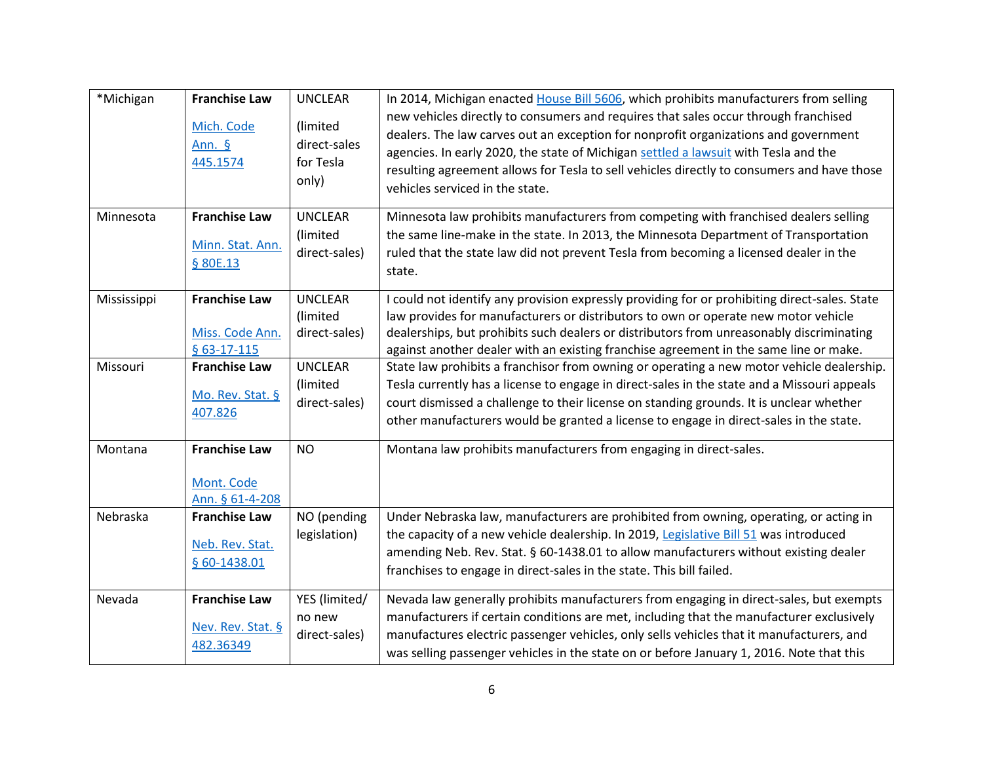| *Michigan   | <b>Franchise Law</b><br>Mich. Code<br>Ann. §<br>445.1574 | <b>UNCLEAR</b><br>(limited<br>direct-sales<br>for Tesla<br>only) | In 2014, Michigan enacted House Bill 5606, which prohibits manufacturers from selling<br>new vehicles directly to consumers and requires that sales occur through franchised<br>dealers. The law carves out an exception for nonprofit organizations and government<br>agencies. In early 2020, the state of Michigan settled a lawsuit with Tesla and the<br>resulting agreement allows for Tesla to sell vehicles directly to consumers and have those<br>vehicles serviced in the state. |
|-------------|----------------------------------------------------------|------------------------------------------------------------------|---------------------------------------------------------------------------------------------------------------------------------------------------------------------------------------------------------------------------------------------------------------------------------------------------------------------------------------------------------------------------------------------------------------------------------------------------------------------------------------------|
| Minnesota   | <b>Franchise Law</b><br>Minn. Stat. Ann.<br>§ 80E.13     | <b>UNCLEAR</b><br>(limited<br>direct-sales)                      | Minnesota law prohibits manufacturers from competing with franchised dealers selling<br>the same line-make in the state. In 2013, the Minnesota Department of Transportation<br>ruled that the state law did not prevent Tesla from becoming a licensed dealer in the<br>state.                                                                                                                                                                                                             |
| Mississippi | <b>Franchise Law</b><br>Miss. Code Ann.<br>$§$ 63-17-115 | <b>UNCLEAR</b><br>(limited<br>direct-sales)                      | I could not identify any provision expressly providing for or prohibiting direct-sales. State<br>law provides for manufacturers or distributors to own or operate new motor vehicle<br>dealerships, but prohibits such dealers or distributors from unreasonably discriminating<br>against another dealer with an existing franchise agreement in the same line or make.                                                                                                                    |
| Missouri    | <b>Franchise Law</b><br>Mo. Rev. Stat. §<br>407.826      | <b>UNCLEAR</b><br>(limited<br>direct-sales)                      | State law prohibits a franchisor from owning or operating a new motor vehicle dealership.<br>Tesla currently has a license to engage in direct-sales in the state and a Missouri appeals<br>court dismissed a challenge to their license on standing grounds. It is unclear whether<br>other manufacturers would be granted a license to engage in direct-sales in the state.                                                                                                               |
| Montana     | <b>Franchise Law</b><br>Mont. Code<br>Ann. § 61-4-208    | <b>NO</b>                                                        | Montana law prohibits manufacturers from engaging in direct-sales.                                                                                                                                                                                                                                                                                                                                                                                                                          |
| Nebraska    | <b>Franchise Law</b><br>Neb. Rev. Stat.<br>§ 60-1438.01  | NO (pending<br>legislation)                                      | Under Nebraska law, manufacturers are prohibited from owning, operating, or acting in<br>the capacity of a new vehicle dealership. In 2019, Legislative Bill 51 was introduced<br>amending Neb. Rev. Stat. § 60-1438.01 to allow manufacturers without existing dealer<br>franchises to engage in direct-sales in the state. This bill failed.                                                                                                                                              |
| Nevada      | <b>Franchise Law</b><br>Nev. Rev. Stat. §<br>482.36349   | YES (limited/<br>no new<br>direct-sales)                         | Nevada law generally prohibits manufacturers from engaging in direct-sales, but exempts<br>manufacturers if certain conditions are met, including that the manufacturer exclusively<br>manufactures electric passenger vehicles, only sells vehicles that it manufacturers, and<br>was selling passenger vehicles in the state on or before January 1, 2016. Note that this                                                                                                                 |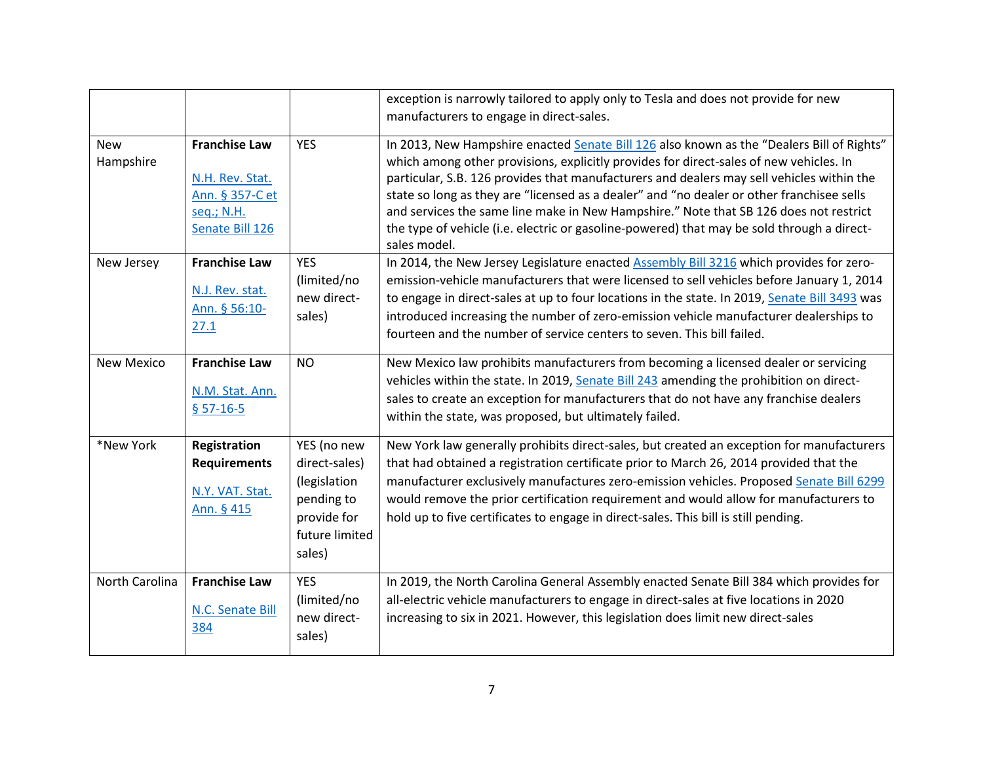|                                       |                                                                                                                     |                                                                                                       | exception is narrowly tailored to apply only to Tesla and does not provide for new                                                                                                                                                                                                                                                                                                                                                                                                                                                                                                                                                                                              |
|---------------------------------------|---------------------------------------------------------------------------------------------------------------------|-------------------------------------------------------------------------------------------------------|---------------------------------------------------------------------------------------------------------------------------------------------------------------------------------------------------------------------------------------------------------------------------------------------------------------------------------------------------------------------------------------------------------------------------------------------------------------------------------------------------------------------------------------------------------------------------------------------------------------------------------------------------------------------------------|
|                                       |                                                                                                                     |                                                                                                       | manufacturers to engage in direct-sales.                                                                                                                                                                                                                                                                                                                                                                                                                                                                                                                                                                                                                                        |
| <b>New</b><br>Hampshire<br>New Jersey | <b>Franchise Law</b><br>N.H. Rev. Stat.<br>Ann. § 357-C et<br>seq.; N.H.<br>Senate Bill 126<br><b>Franchise Law</b> | <b>YES</b><br><b>YES</b>                                                                              | In 2013, New Hampshire enacted Senate Bill 126 also known as the "Dealers Bill of Rights"<br>which among other provisions, explicitly provides for direct-sales of new vehicles. In<br>particular, S.B. 126 provides that manufacturers and dealers may sell vehicles within the<br>state so long as they are "licensed as a dealer" and "no dealer or other franchisee sells<br>and services the same line make in New Hampshire." Note that SB 126 does not restrict<br>the type of vehicle (i.e. electric or gasoline-powered) that may be sold through a direct-<br>sales model.<br>In 2014, the New Jersey Legislature enacted Assembly Bill 3216 which provides for zero- |
|                                       | N.J. Rev. stat.<br>Ann. § 56:10-<br>27.1                                                                            | (limited/no<br>new direct-<br>sales)                                                                  | emission-vehicle manufacturers that were licensed to sell vehicles before January 1, 2014<br>to engage in direct-sales at up to four locations in the state. In 2019, Senate Bill 3493 was<br>introduced increasing the number of zero-emission vehicle manufacturer dealerships to<br>fourteen and the number of service centers to seven. This bill failed.                                                                                                                                                                                                                                                                                                                   |
| <b>New Mexico</b>                     | <b>Franchise Law</b><br>N.M. Stat. Ann.<br>$$57-16-5$                                                               | <b>NO</b>                                                                                             | New Mexico law prohibits manufacturers from becoming a licensed dealer or servicing<br>vehicles within the state. In 2019, Senate Bill 243 amending the prohibition on direct-<br>sales to create an exception for manufacturers that do not have any franchise dealers<br>within the state, was proposed, but ultimately failed.                                                                                                                                                                                                                                                                                                                                               |
| *New York                             | Registration<br><b>Requirements</b><br>N.Y. VAT. Stat.<br>Ann. § 415                                                | YES (no new<br>direct-sales)<br>(legislation<br>pending to<br>provide for<br>future limited<br>sales) | New York law generally prohibits direct-sales, but created an exception for manufacturers<br>that had obtained a registration certificate prior to March 26, 2014 provided that the<br>manufacturer exclusively manufactures zero-emission vehicles. Proposed Senate Bill 6299<br>would remove the prior certification requirement and would allow for manufacturers to<br>hold up to five certificates to engage in direct-sales. This bill is still pending.                                                                                                                                                                                                                  |
| North Carolina                        | <b>Franchise Law</b><br>N.C. Senate Bill<br>384                                                                     | <b>YES</b><br>(limited/no<br>new direct-<br>sales)                                                    | In 2019, the North Carolina General Assembly enacted Senate Bill 384 which provides for<br>all-electric vehicle manufacturers to engage in direct-sales at five locations in 2020<br>increasing to six in 2021. However, this legislation does limit new direct-sales                                                                                                                                                                                                                                                                                                                                                                                                           |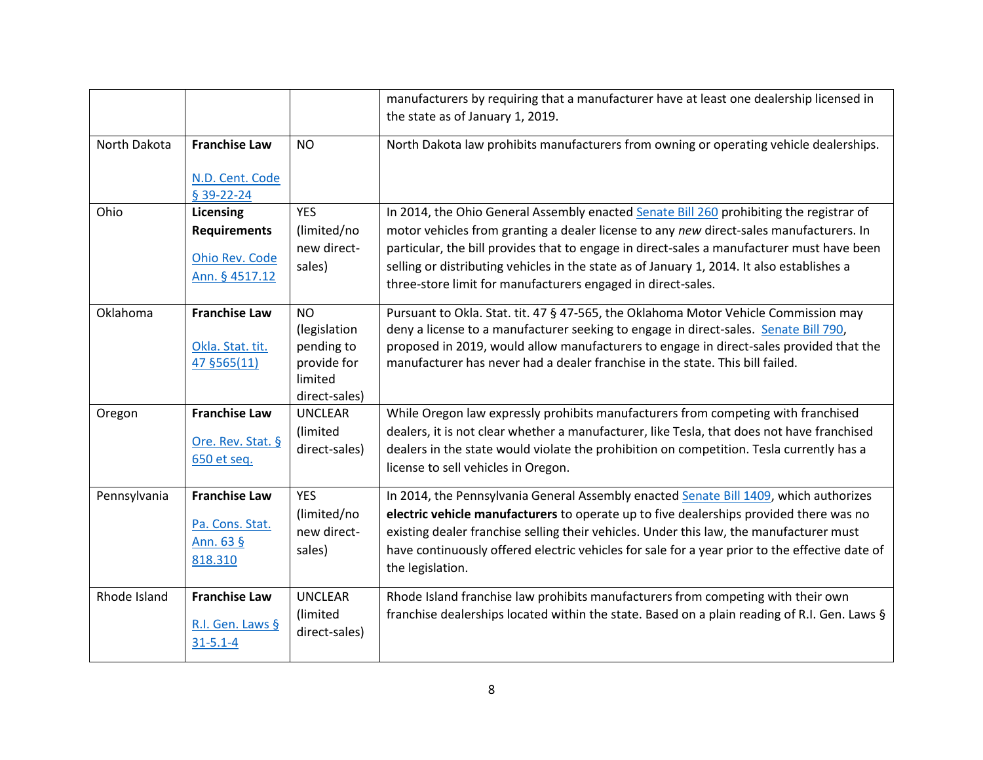|              |                                                                 |                                                                                    | manufacturers by requiring that a manufacturer have at least one dealership licensed in                                                                                                                                                                                                                                                                                                          |
|--------------|-----------------------------------------------------------------|------------------------------------------------------------------------------------|--------------------------------------------------------------------------------------------------------------------------------------------------------------------------------------------------------------------------------------------------------------------------------------------------------------------------------------------------------------------------------------------------|
|              |                                                                 |                                                                                    | the state as of January 1, 2019.                                                                                                                                                                                                                                                                                                                                                                 |
| North Dakota | <b>Franchise Law</b>                                            | <b>NO</b>                                                                          | North Dakota law prohibits manufacturers from owning or operating vehicle dealerships.                                                                                                                                                                                                                                                                                                           |
|              | N.D. Cent. Code<br>§ 39-22-24                                   |                                                                                    |                                                                                                                                                                                                                                                                                                                                                                                                  |
| Ohio         | Licensing                                                       | <b>YES</b>                                                                         | In 2014, the Ohio General Assembly enacted Senate Bill 260 prohibiting the registrar of                                                                                                                                                                                                                                                                                                          |
|              | <b>Requirements</b>                                             | (limited/no                                                                        | motor vehicles from granting a dealer license to any new direct-sales manufacturers. In                                                                                                                                                                                                                                                                                                          |
|              | Ohio Rev. Code<br>Ann. § 4517.12                                | new direct-<br>sales)                                                              | particular, the bill provides that to engage in direct-sales a manufacturer must have been<br>selling or distributing vehicles in the state as of January 1, 2014. It also establishes a<br>three-store limit for manufacturers engaged in direct-sales.                                                                                                                                         |
| Oklahoma     | <b>Franchise Law</b><br>Okla. Stat. tit.<br>47 §565(11)         | <b>NO</b><br>(legislation<br>pending to<br>provide for<br>limited<br>direct-sales) | Pursuant to Okla. Stat. tit. 47 § 47-565, the Oklahoma Motor Vehicle Commission may<br>deny a license to a manufacturer seeking to engage in direct-sales. Senate Bill 790,<br>proposed in 2019, would allow manufacturers to engage in direct-sales provided that the<br>manufacturer has never had a dealer franchise in the state. This bill failed.                                          |
| Oregon       | <b>Franchise Law</b><br>Ore. Rev. Stat. §<br>650 et seq.        | <b>UNCLEAR</b><br>(limited<br>direct-sales)                                        | While Oregon law expressly prohibits manufacturers from competing with franchised<br>dealers, it is not clear whether a manufacturer, like Tesla, that does not have franchised<br>dealers in the state would violate the prohibition on competition. Tesla currently has a<br>license to sell vehicles in Oregon.                                                                               |
| Pennsylvania | <b>Franchise Law</b><br>Pa. Cons. Stat.<br>Ann. 63 §<br>818.310 | <b>YES</b><br>(limited/no<br>new direct-<br>sales)                                 | In 2014, the Pennsylvania General Assembly enacted Senate Bill 1409, which authorizes<br>electric vehicle manufacturers to operate up to five dealerships provided there was no<br>existing dealer franchise selling their vehicles. Under this law, the manufacturer must<br>have continuously offered electric vehicles for sale for a year prior to the effective date of<br>the legislation. |
| Rhode Island | <b>Franchise Law</b><br>R.I. Gen. Laws §<br>$31 - 5.1 - 4$      | <b>UNCLEAR</b><br>(limited<br>direct-sales)                                        | Rhode Island franchise law prohibits manufacturers from competing with their own<br>franchise dealerships located within the state. Based on a plain reading of R.I. Gen. Laws §                                                                                                                                                                                                                 |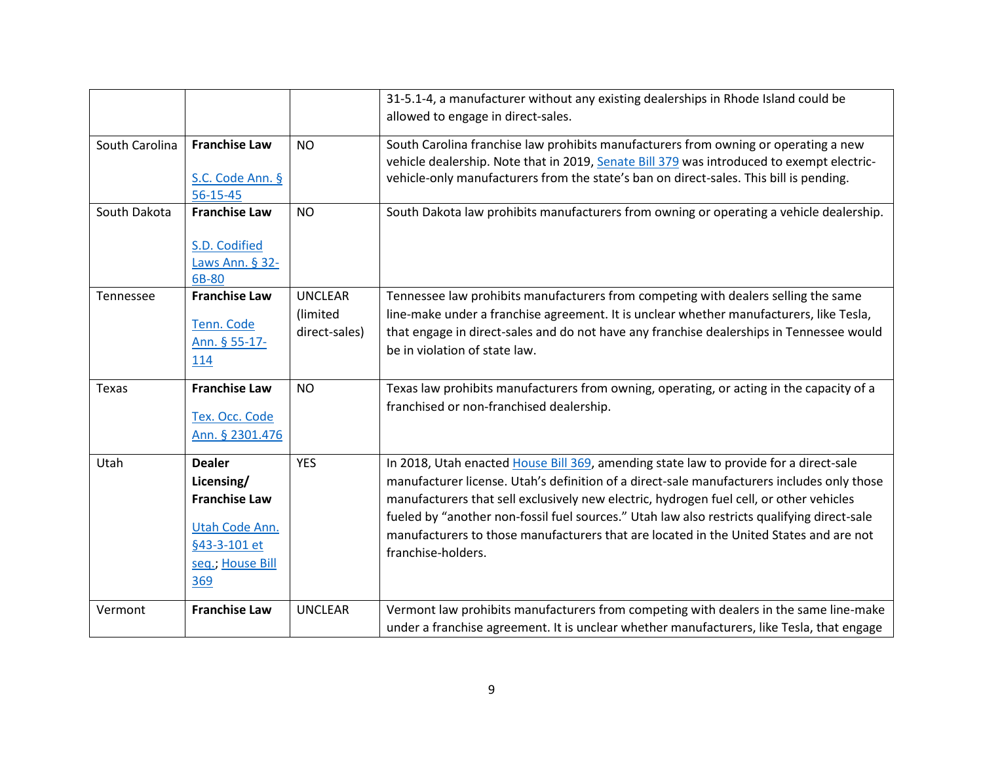|                |                                                                                                                  |                                             | 31-5.1-4, a manufacturer without any existing dealerships in Rhode Island could be<br>allowed to engage in direct-sales.                                                                                                                                                                                                                                                                                                                                                                      |
|----------------|------------------------------------------------------------------------------------------------------------------|---------------------------------------------|-----------------------------------------------------------------------------------------------------------------------------------------------------------------------------------------------------------------------------------------------------------------------------------------------------------------------------------------------------------------------------------------------------------------------------------------------------------------------------------------------|
|                |                                                                                                                  |                                             |                                                                                                                                                                                                                                                                                                                                                                                                                                                                                               |
| South Carolina | <b>Franchise Law</b><br>S.C. Code Ann. §                                                                         | <b>NO</b>                                   | South Carolina franchise law prohibits manufacturers from owning or operating a new<br>vehicle dealership. Note that in 2019, Senate Bill 379 was introduced to exempt electric-<br>vehicle-only manufacturers from the state's ban on direct-sales. This bill is pending.                                                                                                                                                                                                                    |
|                | 56-15-45                                                                                                         |                                             |                                                                                                                                                                                                                                                                                                                                                                                                                                                                                               |
| South Dakota   | <b>Franchise Law</b><br>S.D. Codified<br>Laws Ann. § 32-<br>6B-80                                                | <b>NO</b>                                   | South Dakota law prohibits manufacturers from owning or operating a vehicle dealership.                                                                                                                                                                                                                                                                                                                                                                                                       |
| Tennessee      | <b>Franchise Law</b><br>Tenn. Code<br>Ann. § 55-17-<br>114                                                       | <b>UNCLEAR</b><br>(limited<br>direct-sales) | Tennessee law prohibits manufacturers from competing with dealers selling the same<br>line-make under a franchise agreement. It is unclear whether manufacturers, like Tesla,<br>that engage in direct-sales and do not have any franchise dealerships in Tennessee would<br>be in violation of state law.                                                                                                                                                                                    |
| Texas          | <b>Franchise Law</b><br>Tex. Occ. Code<br>Ann. § 2301.476                                                        | <b>NO</b>                                   | Texas law prohibits manufacturers from owning, operating, or acting in the capacity of a<br>franchised or non-franchised dealership.                                                                                                                                                                                                                                                                                                                                                          |
| Utah           | <b>Dealer</b><br>Licensing/<br><b>Franchise Law</b><br>Utah Code Ann.<br>§43-3-101 et<br>seq., House Bill<br>369 | <b>YES</b>                                  | In 2018, Utah enacted House Bill 369, amending state law to provide for a direct-sale<br>manufacturer license. Utah's definition of a direct-sale manufacturers includes only those<br>manufacturers that sell exclusively new electric, hydrogen fuel cell, or other vehicles<br>fueled by "another non-fossil fuel sources." Utah law also restricts qualifying direct-sale<br>manufacturers to those manufacturers that are located in the United States and are not<br>franchise-holders. |
| Vermont        | <b>Franchise Law</b>                                                                                             | <b>UNCLEAR</b>                              | Vermont law prohibits manufacturers from competing with dealers in the same line-make<br>under a franchise agreement. It is unclear whether manufacturers, like Tesla, that engage                                                                                                                                                                                                                                                                                                            |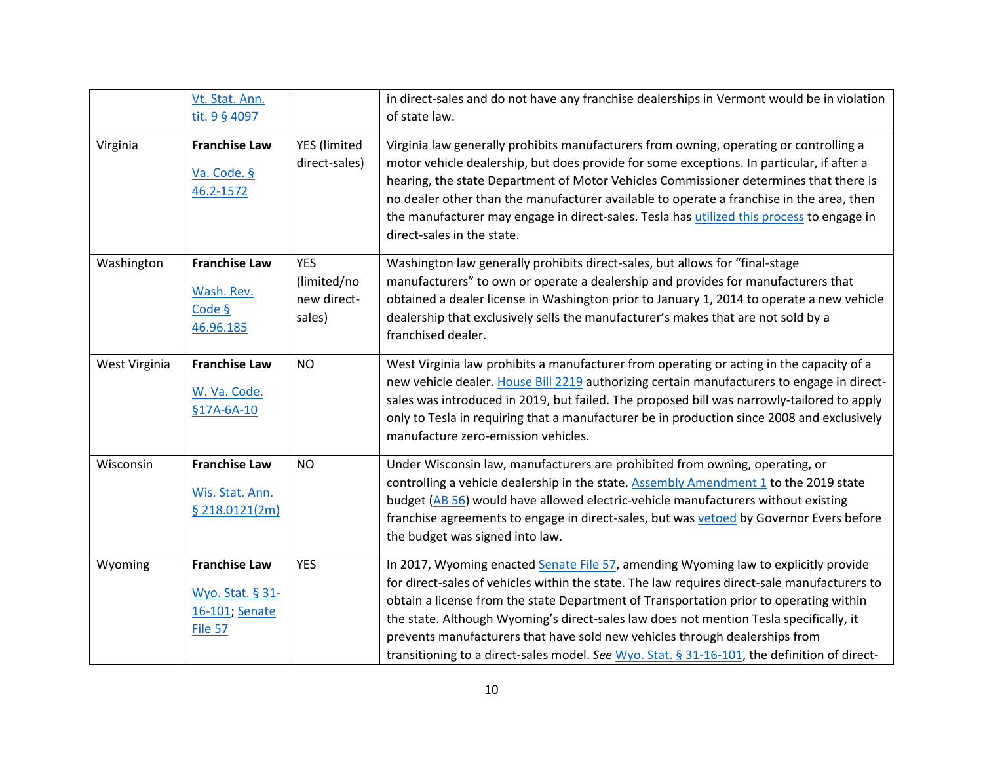|               | Vt. Stat. Ann.<br>tit. 9 § 4097                                       |                                                    | in direct-sales and do not have any franchise dealerships in Vermont would be in violation<br>of state law.                                                                                                                                                                                                                                                                                                                                                                                                                                            |
|---------------|-----------------------------------------------------------------------|----------------------------------------------------|--------------------------------------------------------------------------------------------------------------------------------------------------------------------------------------------------------------------------------------------------------------------------------------------------------------------------------------------------------------------------------------------------------------------------------------------------------------------------------------------------------------------------------------------------------|
| Virginia      | <b>Franchise Law</b><br>Va. Code. §<br>46.2-1572                      | YES (limited<br>direct-sales)                      | Virginia law generally prohibits manufacturers from owning, operating or controlling a<br>motor vehicle dealership, but does provide for some exceptions. In particular, if after a<br>hearing, the state Department of Motor Vehicles Commissioner determines that there is<br>no dealer other than the manufacturer available to operate a franchise in the area, then<br>the manufacturer may engage in direct-sales. Tesla has utilized this process to engage in<br>direct-sales in the state.                                                    |
| Washington    | <b>Franchise Law</b><br>Wash. Rev.<br>Code §<br>46.96.185             | <b>YES</b><br>(limited/no<br>new direct-<br>sales) | Washington law generally prohibits direct-sales, but allows for "final-stage<br>manufacturers" to own or operate a dealership and provides for manufacturers that<br>obtained a dealer license in Washington prior to January 1, 2014 to operate a new vehicle<br>dealership that exclusively sells the manufacturer's makes that are not sold by a<br>franchised dealer.                                                                                                                                                                              |
| West Virginia | <b>Franchise Law</b><br>W. Va. Code.<br>§17A-6A-10                    | <b>NO</b>                                          | West Virginia law prohibits a manufacturer from operating or acting in the capacity of a<br>new vehicle dealer. House Bill 2219 authorizing certain manufacturers to engage in direct-<br>sales was introduced in 2019, but failed. The proposed bill was narrowly-tailored to apply<br>only to Tesla in requiring that a manufacturer be in production since 2008 and exclusively<br>manufacture zero-emission vehicles.                                                                                                                              |
| Wisconsin     | <b>Franchise Law</b><br>Wis. Stat. Ann.<br>\$218.0121(2m)             | <b>NO</b>                                          | Under Wisconsin law, manufacturers are prohibited from owning, operating, or<br>controlling a vehicle dealership in the state. Assembly Amendment 1 to the 2019 state<br>budget (AB 56) would have allowed electric-vehicle manufacturers without existing<br>franchise agreements to engage in direct-sales, but was vetoed by Governor Evers before<br>the budget was signed into law.                                                                                                                                                               |
| Wyoming       | <b>Franchise Law</b><br>Wyo. Stat. § 31-<br>16-101; Senate<br>File 57 | <b>YES</b>                                         | In 2017, Wyoming enacted Senate File 57, amending Wyoming law to explicitly provide<br>for direct-sales of vehicles within the state. The law requires direct-sale manufacturers to<br>obtain a license from the state Department of Transportation prior to operating within<br>the state. Although Wyoming's direct-sales law does not mention Tesla specifically, it<br>prevents manufacturers that have sold new vehicles through dealerships from<br>transitioning to a direct-sales model. See Wyo. Stat. § 31-16-101, the definition of direct- |